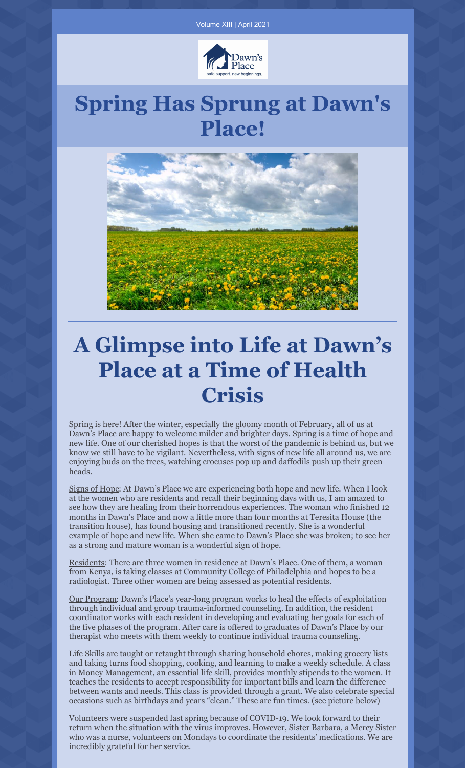

### **Spring Has Sprung at Dawn's Place!**



## **A Glimpse into Life at Dawn's Place at a Time of Health Crisis**

Spring is here! After the winter, especially the gloomy month of February, all of us at Dawn's Place are happy to welcome milder and brighter days. Spring is a time of hope and new life. One of our cherished hopes is that the worst of the pandemic is behind us, but we know we still have to be vigilant. Nevertheless, with signs of new life all around us, we are enjoying buds on the trees, watching crocuses pop up and daffodils push up their green heads.

Signs of Hope: At Dawn's Place we are experiencing both hope and new life. When I look at the women who are residents and recall their beginning days with us, I am amazed to see how they are healing from their horrendous experiences. The woman who finished 12 months in Dawn's Place and now a little more than four months at Teresita House (the transition house), has found housing and transitioned recently. She is a wonderful example of hope and new life. When she came to Dawn's Place she was broken; to see her as a strong and mature woman is a wonderful sign of hope.

Residents: There are three women in residence at Dawn's Place. One of them, a woman from Kenya, is taking classes at Community College of Philadelphia and hopes to be a radiologist. Three other women are being assessed as potential residents.

Our Program: Dawn's Place's year-long program works to heal the effects of exploitation through individual and group trauma-informed counseling. In addition, the resident coordinator works with each resident in developing and evaluating her goals for each of the five phases of the program. After care is offered to graduates of Dawn's Place by our therapist who meets with them weekly to continue individual trauma counseling.

Life Skills are taught or retaught through sharing household chores, making grocery lists and taking turns food shopping, cooking, and learning to make a weekly schedule. A class in Money Management, an essential life skill, provides monthly stipends to the women. It teaches the residents to accept responsibility for important bills and learn the difference between wants and needs. This class is provided through a grant. We also celebrate special occasions such as birthdays and years "clean." These are fun times. (see picture below)

Volunteers were suspended last spring because of COVID-19. We look forward to their return when the situation with the virus improves. However, Sister Barbara, a Mercy Sister who was a nurse, volunteers on Mondays to coordinate the residents' medications. We are incredibly grateful for her service.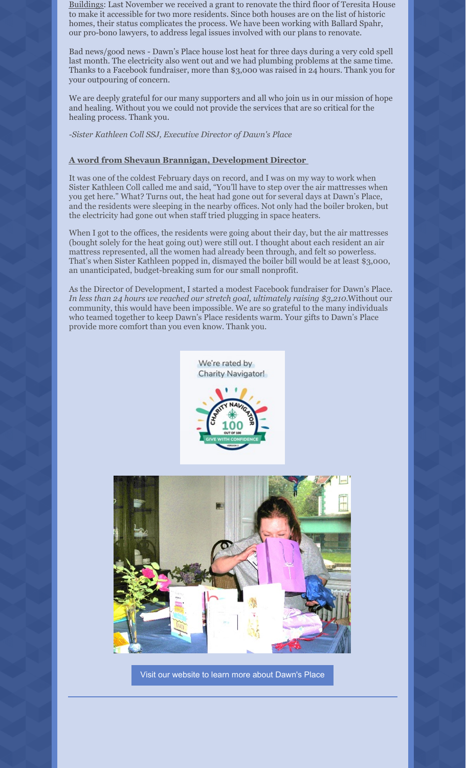Buildings: Last November we received a grant to renovate the third floor of Teresita House to make it accessible for two more residents. Since both houses are on the list of historic homes, their status complicates the process. We have been working with Ballard Spahr, our pro-bono lawyers, to address legal issues involved with our plans to renovate.

Bad news/good news - Dawn's Place house lost heat for three days during a very cold spell last month. The electricity also went out and we had plumbing problems at the same time. Thanks to a Facebook fundraiser, more than \$3,000 was raised in 24 hours. Thank you for your outpouring of concern.

We are deeply grateful for our many supporters and all who join us in our mission of hope and healing. Without you we could not provide the services that are so critical for the healing process. Thank you.

*-Sister Kathleen Coll SSJ, Executive Director of Dawn's Place*

#### **A word from Shevaun Brannigan, Development Director**

It was one of the coldest February days on record, and I was on my way to work when Sister Kathleen Coll called me and said, "You'll have to step over the air mattresses when you get here." What? Turns out, the heat had gone out for several days at Dawn's Place, and the residents were sleeping in the nearby offices. Not only had the boiler broken, but the electricity had gone out when staff tried plugging in space heaters.

When I got to the offices, the residents were going about their day, but the air mattresses (bought solely for the heat going out) were still out. I thought about each resident an air mattress represented, all the women had already been through, and felt so powerless. That's when Sister Kathleen popped in, dismayed the boiler bill would be at least \$3,000, an unanticipated, budget-breaking sum for our small nonprofit.

As the Director of Development, I started a modest Facebook fundraiser for Dawn's Place. *In less than 24 hours we reached our stretch goal, ultimately raising \$3,210.*Without our community, this would have been impossible. We are so grateful to the many individuals who teamed together to keep Dawn's Place residents warm. Your gifts to Dawn's Place provide more comfort than you even know. Thank you.





Visit our [website](http://ahomefordawn.org) to learn more about Dawn's Place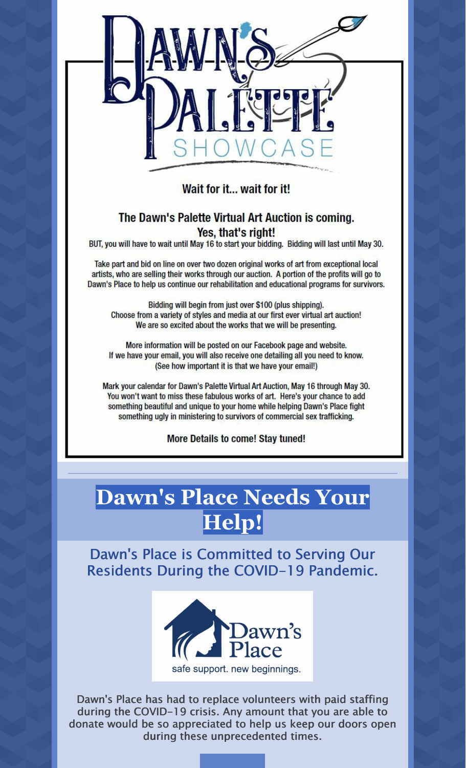

Wait for it... wait for it!

#### The Dawn's Palette Virtual Art Auction is coming. Yes, that's right!

BUT, you will have to wait until May 16 to start your bidding. Bidding will last until May 30.

Take part and bid on line on over two dozen original works of art from exceptional local artists, who are selling their works through our auction. A portion of the profits will go to Dawn's Place to help us continue our rehabilitation and educational programs for survivors.

Bidding will begin from just over \$100 (plus shipping). Choose from a variety of styles and media at our first ever virtual art auction! We are so excited about the works that we will be presenting.

More information will be posted on our Facebook page and website. If we have your email, you will also receive one detailing all you need to know. (See how important it is that we have your email!)

Mark your calendar for Dawn's Palette Virtual Art Auction, May 16 through May 30. You won't want to miss these fabulous works of art. Here's your chance to add something beautiful and unique to your home while helping Dawn's Place fight something ugly in ministering to survivors of commercial sex trafficking.

**More Details to come! Stay tuned!** 

# **Dawn's Place Needs Your Help!**

Dawn's Place is Committed to Serving Our Residents During the COVID-19 Pandemic.



Dawn's Place has had to replace volunteers with paid staffing during the COVID-19 crisis. Any amount that you are able to donate would be so appreciated to help us keep our doors open during these unprecedented times.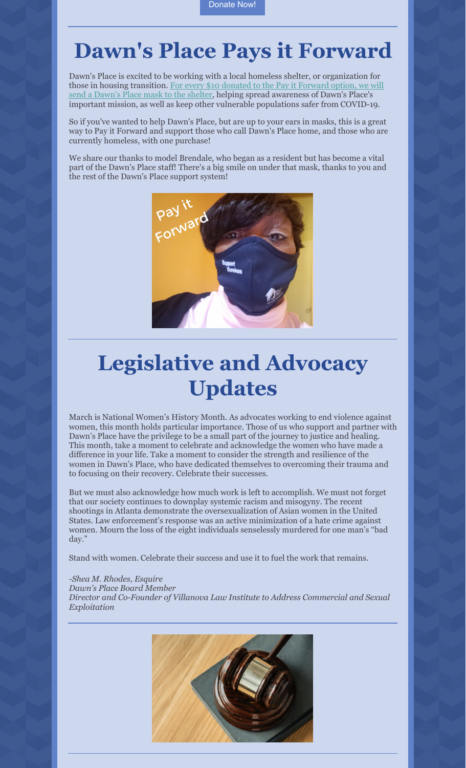### **Dawn's Place Pays it Forward**

Dawn's Place is excited to be working with a local homeless shelter, or organization for those in housing [transition.](https://www.etsy.com/listing/946866375/donate-a-dawns-place-mask-to-a-homeless) For every \$10 donated to the Pay it Forward option, we will send a Dawn's Place mask to the shelter, helping spread awareness of Dawn's Place's important mission, as well as keep other vulnerable populations safer from COVID-19.

So if you've wanted to help Dawn's Place, but are up to your ears in masks, this is a great way to Pay it Forward and support those who call Dawn's Place home, and those who are currently homeless, with one purchase!

We share our thanks to model Brendale, who began as a resident but has become a vital part of the Dawn's Place staff! There's a big smile on under that mask, thanks to you and the rest of the Dawn's Place support system!



## **Legislative and Advocacy Updates**

March is National Women's History Month. As advocates working to end violence against women, this month holds particular importance. Those of us who support and partner with Dawn's Place have the privilege to be a small part of the journey to justice and healing. This month, take a moment to celebrate and acknowledge the women who have made a difference in your life. Take a moment to consider the strength and resilience of the women in Dawn's Place, who have dedicated themselves to overcoming their trauma and to focusing on their recovery. Celebrate their successes.

But we must also acknowledge how much work is left to accomplish. We must not forget that our society continues to downplay systemic racism and misogyny. The recent shootings in Atlanta demonstrate the oversexualization of Asian women in the United States. Law enforcement's response was an active minimization of a hate crime against women. Mourn the loss of the eight individuals senselessly murdered for one man's "bad day."

Stand with women. Celebrate their success and use it to fuel the work that remains.

#### *-Shea M. Rhodes, Esquire*

*Dawn's Place Board Member*

*Director and Co-Founder of Villanova Law Institute to Address Commercial and Sexual Exploitation*